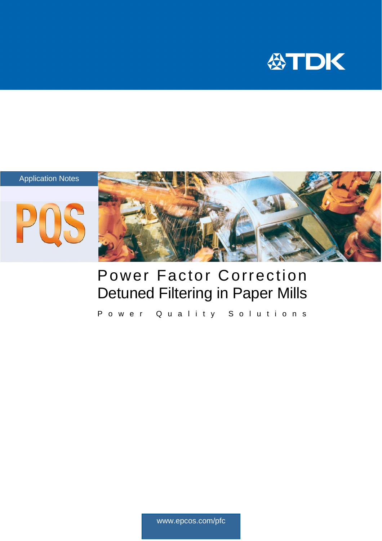



# Power Factor Correction Detuned Filtering in Paper Mills

Power Quality Solutions

www.epcos.com/pfc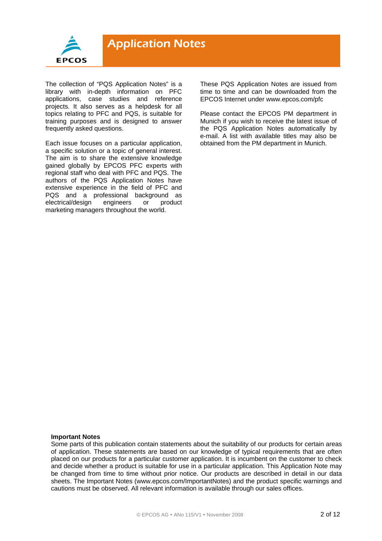

The collection of "PQS Application Notes" is a library with in-depth information on PFC applications, case studies and reference projects. It also serves as a helpdesk for all topics relating to PFC and PQS, is suitable for training purposes and is designed to answer frequently asked questions.

Each issue focuses on a particular application, a specific solution or a topic of general interest. The aim is to share the extensive knowledge gained globally by EPCOS PFC experts with regional staff who deal with PFC and PQS. The authors of the PQS Application Notes have extensive experience in the field of PFC and PQS and a professional background as<br>electrical/design engineers or product electrical/design engineers or marketing managers throughout the world.

These PQS Application Notes are issued from time to time and can be downloaded from the EPCOS Internet under www.epcos.com/pfc

Please contact the EPCOS PM department in Munich if you wish to receive the latest issue of the PQS Application Notes automatically by e-mail. A list with available titles may also be obtained from the PM department in Munich.

#### **Important Notes**

Some parts of this publication contain statements about the suitability of our products for certain areas of application. These statements are based on our knowledge of typical requirements that are often placed on our products for a particular customer application. It is incumbent on the customer to check and decide whether a product is suitable for use in a particular application. This Application Note may be changed from time to time without prior notice. Our products are described in detail in our data sheets. The Important Notes (www.epcos.com/ImportantNotes) and the product specific warnings and cautions must be observed. All relevant information is available through our sales offices.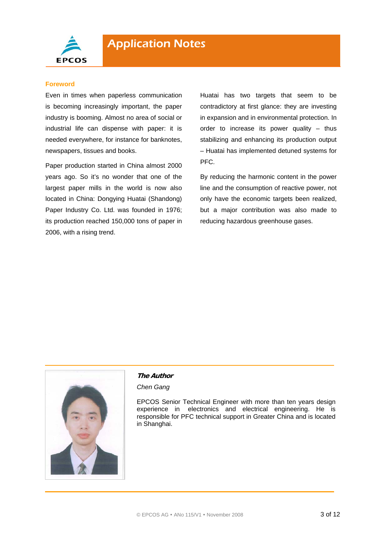

#### **Foreword**

Even in times when paperless communication is becoming increasingly important, the paper industry is booming. Almost no area of social or industrial life can dispense with paper: it is needed everywhere, for instance for banknotes, newspapers, tissues and books.

Paper production started in China almost 2000 years ago. So it's no wonder that one of the largest paper mills in the world is now also located in China: Dongying Huatai (Shandong) Paper Industry Co. Ltd. was founded in 1976; its production reached 150,000 tons of paper in 2006, with a rising trend.

Huatai has two targets that seem to be contradictory at first glance: they are investing in expansion and in environmental protection. In order to increase its power quality – thus stabilizing and enhancing its production output – Huatai has implemented detuned systems for PFC.

By reducing the harmonic content in the power line and the consumption of reactive power, not only have the economic targets been realized, but a major contribution was also made to reducing hazardous greenhouse gases.



#### **The Author**

*Chen Gang* 

EPCOS Senior Technical Engineer with more than ten years design experience in electronics and electrical engineering. He is responsible for PFC technical support in Greater China and is located in Shanghai.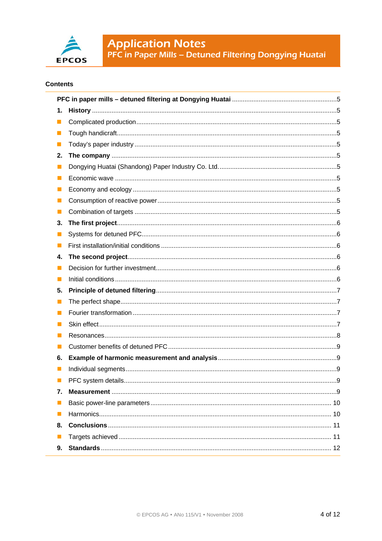

**Application Notes**<br>PFC in Paper Mills - Detuned Filtering Dongying Huatai

### **Contents**

| 1. |                           |
|----|---------------------------|
| m. |                           |
| m. |                           |
| ш  |                           |
| 2. |                           |
| L. |                           |
| I. |                           |
| Ш  |                           |
|    |                           |
| H  |                           |
| 3. |                           |
| M  |                           |
| H  |                           |
| 4. |                           |
| I. |                           |
| n. |                           |
| 5. |                           |
| L. |                           |
| H  |                           |
|    |                           |
| Ш  |                           |
| l. |                           |
| 6. |                           |
|    |                           |
|    | 9.<br>PFC system details. |
| 7. |                           |
| ш  |                           |
|    |                           |
| 8. |                           |
|    |                           |
| 9. |                           |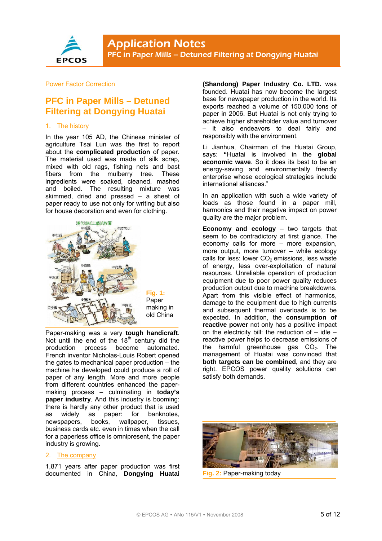

Power Factor Correction

# **PFC in Paper Mills – Detuned Filtering at Dongying Huatai**

#### 1. The history

In the year 105 AD, the Chinese minister of agriculture Tsai Lun was the first to report about the **complicated production** of paper. The material used was made of silk scrap, mixed with old rags, fishing nets and bast fibers from the mulberry tree. These ingredients were soaked, cleaned, mashed and boiled. The resulting mixture was skimmed, dried and pressed – a sheet of paper ready to use not only for writing but also for house decoration and even for clothing.



Paper-making was a very **tough handicraft**. Not until the end of the  $18<sup>th</sup>$  century did the production process become automated. French inventor Nicholas-Louis Robert opened the gates to mechanical paper production – the machine he developed could produce a roll of paper of any length. More and more people from different countries enhanced the papermaking process – culminating in **today's paper industry**. And this industry is booming: there is hardly any other product that is used as widely as paper: for banknotes, newspapers, books, wallpaper, tissues, business cards etc. even in times when the call for a paperless office is omnipresent, the paper industry is growing.

#### 2. The company

1,871 years after paper production was first documented in China, **Dongying Huatai**  **(Shandong) Paper Industry Co. LTD.** was founded. Huatai has now become the largest base for newspaper production in the world. Its exports reached a volume of 150,000 tons of paper in 2006. But Huatai is not only trying to achieve higher shareholder value and turnover it also endeavors to deal fairly and responsibly with the environment.

Li Jianhua, Chairman of the Huatai Group, says: **"**Huatai is involved in the **global economic wave**. So it does its best to be an energy-saving and environmentally friendly enterprise whose ecological strategies include international alliances."

In an application with such a wide variety of loads as those found in a paper mill, harmonics and their negative impact on power quality are the major problem.

**Economy and ecology** – two targets that seem to be contradictory at first glance. The economy calls for more – more expansion, more output, more turnover – while ecology calls for less: lower  $CO<sub>2</sub>$  emissions, less waste of energy, less over-exploitation of natural resources. Unreliable operation of production equipment due to poor power quality reduces production output due to machine breakdowns. Apart from this visible effect of harmonics, damage to the equipment due to high currents and subsequent thermal overloads is to be expected. In addition, the **consumption of reactive power** not only has a positive impact on the electricity bill: the reduction of  $-$  idle  $$ reactive power helps to decrease emissions of the harmful greenhouse gas  $CO<sub>2</sub>$ . The management of Huatai was convinced that **both targets can be combined,** and they are right. EPCOS power quality solutions can satisfy both demands.



**Fig. 2:** Paper-making today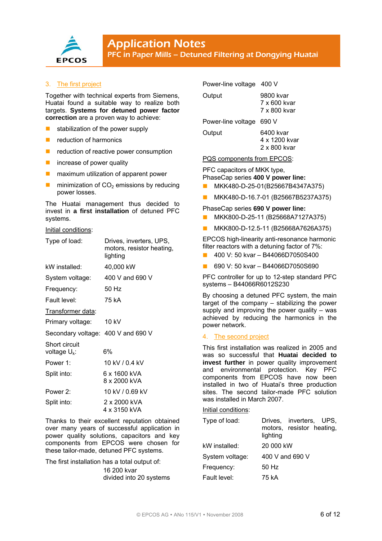

#### 3. The first project

Together with technical experts from Siemens, Huatai found a suitable way to realize both targets. **Systems for detuned power factor correction** are a proven way to achieve:

- $\blacksquare$  stabilization of the power supply
- reduction of harmonics
- reduction of reactive power consumption
- **n** increase of power quality
- $\blacksquare$  maximum utilization of apparent power
- **minimization of CO<sub>2</sub> emissions by reducing** power losses.

The Huatai management thus decided to invest in **a first installation** of detuned PFC systems.

#### Initial conditions:

| Type of load:                      | Drives, inverters, UPS,<br>motors, resistor heating,<br>lighting |
|------------------------------------|------------------------------------------------------------------|
| kW installed:                      | 40,000 kW                                                        |
| System voltage:                    | 400 V and 690 V                                                  |
| Frequency:                         | 50 Hz                                                            |
| Fault level:                       | 75 kA                                                            |
| Transformer data:                  |                                                                  |
| Primary voltage:                   | $10 \text{ kV}$                                                  |
| Secondary voltage: 400 V and 690 V |                                                                  |
| Short circuit<br>voltage $U_k$ :   | 6%                                                               |
| Power 1:                           | 10 kV / 0.4 kV                                                   |
| Split into:                        | 6 x 1600 kVA<br>8 x 2000 kVA                                     |
| Power 2:                           | 10 kV / 0.69 kV                                                  |
| Split into:                        | 2 x 2000 kVA<br>4 x 3150 kVA                                     |

Thanks to their excellent reputation obtained over many years of successful application in power quality solutions, capacitors and key components from EPCOS were chosen for these tailor-made, detuned PFC systems.

The first installation has a total output of: 16 200 kvar divided into 20 systems

#### Power-line voltage 400 V

| Output                   | 9800 kvar<br>7 x 600 kvar<br>7 x 800 kvar  |
|--------------------------|--------------------------------------------|
| Power-line voltage 690 V |                                            |
| Output                   | 6400 kvar<br>4 x 1200 kvar<br>2 x 800 kvar |

PQS components from EPCOS:

PFC capacitors of MKK type, PhaseCap series **400 V power line:** 

- MKK480-D-25-01(B25667B4347A375)
- MKK480-D-16.7-01 (B25667B5237A375)

#### PhaseCap series **690 V power line:**

- **MKK800-D-25-11 (B25668A7127A375)**
- MKK800-D-12.5-11 (B25668A7626A375)

EPCOS high-linearity anti-resonance harmonic filter reactors with a detuning factor of 7%:

- 400 V: 50 kvar B44066D7050S400
- 690 V: 50 kvar B44066D7050S690

PFC controller for up to 12-step standard PFC systems – B44066R6012S230

By choosing a detuned PFC system, the main target of the company – stabilizing the power supply and improving the power quality – was achieved by reducing the harmonics in the power network.

#### 4. The second project

This first installation was realized in 2005 and was so successful that **Huatai decided to invest further** in power quality improvement and environmental protection. Key PFC components from EPCOS have now been installed in two of Huatai's three production sites. The second tailor-made PFC solution was installed in March 2007.

#### Initial conditions:

| Type of load:   | Drives, inverters, UPS,<br>motors, resistor heating,<br>lighting |
|-----------------|------------------------------------------------------------------|
| kW installed:   | 20 000 kW                                                        |
| System voltage: | 400 V and 690 V                                                  |
| Frequency:      | 50 Hz                                                            |
| Fault level:    | 75 kA                                                            |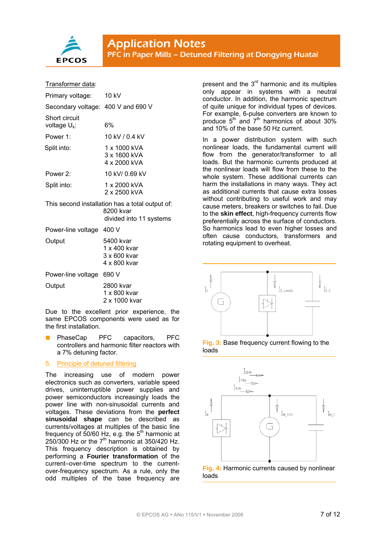

#### Transformer data:

| Primary voltage:                   | 10 kV                                               |
|------------------------------------|-----------------------------------------------------|
| Secondary voltage: 400 V and 690 V |                                                     |
| Short circuit<br>voltage $U_k$ :   | 6%                                                  |
| Power 1:                           | 10 kV / 0 4 kV                                      |
| Split into:                        | 1 x 1000 kVA<br>3 x 1600 kVA<br>$4 \times 2000$ kVA |
| Power 2:                           | 10 kV/ 0.69 kV                                      |
| Split into:                        | 1 x 2000 kVA<br>2 x 2500 kVA                        |

This second installation has a total output of: 8200 kvar divided into 11 systems

| Power-line voltage 400 V |                                                           |
|--------------------------|-----------------------------------------------------------|
| Output                   | 5400 kvar<br>1 x 400 kvar<br>3 x 600 kvar<br>4 x 800 kvar |
|                          |                                                           |

Power-line voltage 690 V

| 2800 kvar     |
|---------------|
| 1 x 800 kvar  |
| 2 x 1000 kvar |
|               |

Due to the excellent prior experience, the same EPCOS components were used as for the first installation.

 PhaseCap PFC capacitors, PFC controllers and harmonic filter reactors with a 7% detuning factor.

#### 5. Principle of detuned filtering

The increasing use of modern power electronics such as converters, variable speed drives, uninterruptible power supplies and power semiconductors increasingly loads the power line with non-sinusoidal currents and voltages. These deviations from the **perfect sinusoidal shape** can be described as currents/voltages at multiples of the basic line frequency of  $50/60$  Hz, e.g. the  $5<sup>th</sup>$  harmonic at  $250/300$  Hz or the  $7<sup>th</sup>$  harmonic at 350/420 Hz. This frequency description is obtained by performing a **Fourier transformation** of the current–over-time spectrum to the currentover-frequency spectrum. As a rule, only the odd multiples of the base frequency are

present and the  $3<sup>rd</sup>$  harmonic and its multiples only appear in systems with a neutral conductor. In addition, the harmonic spectrum of quite unique for individual types of devices. For example, 6-pulse converters are known to produce  $5<sup>th</sup>$  and  $7<sup>th</sup>$  harmonics of about 30% and 10% of the base 50 Hz current.

In a power distribution system with such nonlinear loads, the fundamental current will flow from the generator/transformer to all loads. But the harmonic currents produced at the nonlinear loads will flow from these to the whole system. These additional currents can harm the installations in many ways. They act as additional currents that cause extra losses without contributing to useful work and may cause meters, breakers or switches to fail. Due to the **skin effect**, high-frequency currents flow preferentially across the surface of conductors. So harmonics lead to even higher losses and often cause conductors, transformers and rotating equipment to overheat.



**Fig. 3:** Base frequency current flowing to the loads



loads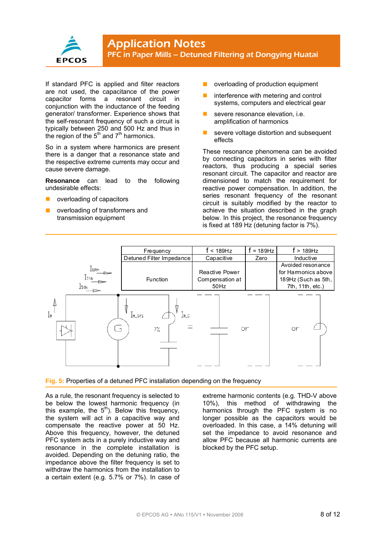

If standard PFC is applied and filter reactors are not used, the capacitance of the power capacitor forms a resonant circuit in conjunction with the inductance of the feeding generator/ transformer. Experience shows that the self-resonant frequency of such a circuit is typically between 250 and 500 Hz and thus in the region of the  $5<sup>th</sup>$  and  $7<sup>th</sup>$  harmonics.

So in a system where harmonics are present there is a danger that a resonance state and the respective extreme currents may occur and cause severe damage.

**Resonance** can lead to the following undesirable effects:

- overloading of capacitors
- overloading of transformers and transmission equipment
- overloading of production equipment
- interference with metering and control systems, computers and electrical gear
- severe resonance elevation, i.e. amplification of harmonics
- severe voltage distortion and subsequent effects

These resonance phenomena can be avoided by connecting capacitors in series with filter reactors, thus producing a special series resonant circuit. The capacitor and reactor are dimensioned to match the requirement for reactive power compensation. In addition, the series resonant frequency of the resonant circuit is suitably modified by the reactor to achieve the situation described in the graph below. In this project, the resonance frequency is fixed at 189 Hz (detuning factor is 7%).



#### **Fig. 5:** Properties of a detuned PFC installation depending on the frequency

As a rule, the resonant frequency is selected to be below the lowest harmonic frequency (in this example, the  $5<sup>th</sup>$ ). Below this frequency, the system will act in a capacitive way and compensate the reactive power at 50 Hz. Above this frequency, however, the detuned PFC system acts in a purely inductive way and resonance in the complete installation is avoided. Depending on the detuning ratio, the impedance above the filter frequency is set to withdraw the harmonics from the installation to a certain extent (e.g. 5.7% or 7%). In case of extreme harmonic contents (e.g. THD-V above 10%), this method of withdrawing the harmonics through the PFC system is no longer possible as the capacitors would be overloaded. In this case, a 14% detuning will set the impedance to avoid resonance and allow PFC because all harmonic currents are blocked by the PFC setup.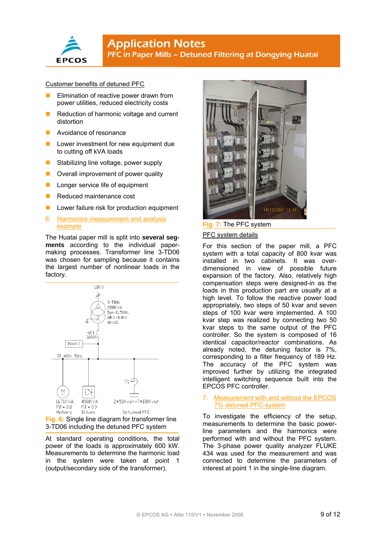

## **Application Notes** PFC in Paper Mills – Detuned Filtering at Dongying Huatai

#### Customer benefits of detuned PFC

- Elimination of reactive power drawn from power utilities, reduced electricity costs
- Reduction of harmonic voltage and current distortion
- Avoidance of resonance
- Lower investment for new equipment due to cutting off kVA loads
- Stabilizing line voltage, power supply
- **D** Overall improvement of power quality
- **Longer service life of equipment**
- Reduced maintenance cost
- **Lower failure risk for production equipment**
- 6. Harmonics measurement and analysis example

The Huatai paper mill is split into **several segments** according to the individual papermaking processes. Transformer line 3-TD06 was chosen for sampling because it contains the largest number of nonlinear loads in the factory.



3-TD06 including the detuned PFC system

At standard operating conditions, the total power of the loads is approximately 600 kW. Measurements to determine the harmonic load in the system were taken at point 1 (output/secondary side of the transformer).



**Fig. 7:** The PFC system

#### PFC system details

For this section of the paper mill, a PFC system with a total capacity of 800 kvar was installed in two cabinets. It was overdimensioned in view of possible future expansion of the factory. Also, relatively high compensation steps were designed-in as the loads in this production part are usually at a high level. To follow the reactive power load appropriately, two steps of 50 kvar and seven steps of 100 kvar were implemented. A 100 kvar step was realized by connecting two 50 kvar steps to the same output of the PFC controller. So the system is composed of 16 identical capacitor/reactor combinations. As already noted, the detuning factor is 7%, corresponding to a filter frequency of 189 Hz. The accuracy of the PFC system was improved further by utilizing the integrated intelligent switching sequence built into the EPCOS PFC controller.

#### 7. Measurement with and without the EPCOS 7% detuned PFC-system

To investigate the efficiency of the setup, measurements to determine the basic powerline parameters and the harmonics were performed with and without the PFC system. The 3-phase power quality analyzer FLUKE 434 was used for the measurement and was connected to determine the parameters of interest at point 1 in the single-line diagram.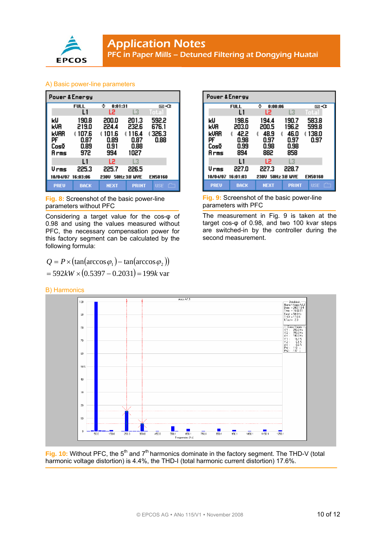

#### A) Basic power-line parameters

| Power & Energy                           |                                                     |                                                     |                                                 |                                   |
|------------------------------------------|-----------------------------------------------------|-----------------------------------------------------|-------------------------------------------------|-----------------------------------|
|                                          | <b>FULL</b>                                         | ٥<br>0:01:31                                        |                                                 | to n⊠                             |
|                                          | L1                                                  | L2                                                  | L3                                              | Total                             |
| kIJ<br>kua<br>kuar<br>PF<br>Cosō<br>Arms | 190.8<br>219.0<br>107.6<br>έ<br>0.87<br>0.89<br>972 | 200.0<br>224.4<br>101.6<br>έ<br>0.89<br>0.91<br>994 | 201.3<br>232.6<br>116.4<br>0.87<br>0.88<br>1027 | 592.2<br>676.1<br>t 326.3<br>0.88 |
|                                          | $\mathbf{1}$                                        | L2                                                  | L3                                              |                                   |
| Urms                                     | 225.3                                               | 225.7                                               | 226.5                                           |                                   |
| 10/04/07                                 | 16:03:06                                            | 230U                                                | <b>50Hz 3.8 WYE</b>                             | <b>EN50160</b>                    |
| <b>PREU</b>                              | <b>BACK</b>                                         | <b>NEXT</b>                                         | <b>PRINT</b>                                    | بالمالع<br><b>USE</b><br>         |

**Fig. 8:** Screenshot of the basic power-line parameters without PFC

Considering a target value for the cos-φ of 0.98 and using the values measured without PFC, the necessary compensation power for this factory segment can be calculated by the following formula:

$$
Q = P \times (\tan(\arccos \varphi_1) - \tan(\arccos \varphi_2))
$$
  
= 592kW \times (0.5397 - 0.2031) = 199k var

| Power & Energy |             |                      |              |                |
|----------------|-------------|----------------------|--------------|----------------|
|                | <b>FULL</b> | ٥<br>0:00:06         |              | t⊒∹C⊧          |
|                | L١          | L2                   | L3           | Total          |
| ĸU             | 198.6       | 194.4                | 190.7        | 583.8          |
| kVA            | 203.0       | 200.5                | 196.2        | 599.8          |
| kuar           | 42.2<br>έ   | 48.9<br>έ<br>í       | 46.0         | 138.0<br>έ     |
| PF             | 0.98        | 0.97                 | 0.97         | 0.97           |
| CosΩ           | 0.99        | 0.98                 | 0.98         |                |
| Arms           | 894         | 882                  | 858          |                |
|                | L1          | L2                   | L3           |                |
| Urms           | 227.0       | 227.3                | 228.7        |                |
| 10/04/07       | 16:01:03    | 50Hz 3.8 WYE<br>230U |              | <b>EN50160</b> |
| <b>PREU</b>    | <b>BACK</b> | <b>NEXT</b>          | <b>PRINT</b> | USE            |

**Fig. 9:** Screenshot of the basic power-line parameters with PFC

The measurement in Fig. 9 is taken at the target cos-φ of 0.98, and two 100 kvar steps are switched-in by the controller during the second measurement.



Fig. 10: Without PFC, the 5<sup>th</sup> and 7<sup>th</sup> harmonics dominate in the factory segment. The THD-V (total harmonic voltage distortion) is 4.4%, the THD-I (total harmonic current distortion) 17.6%.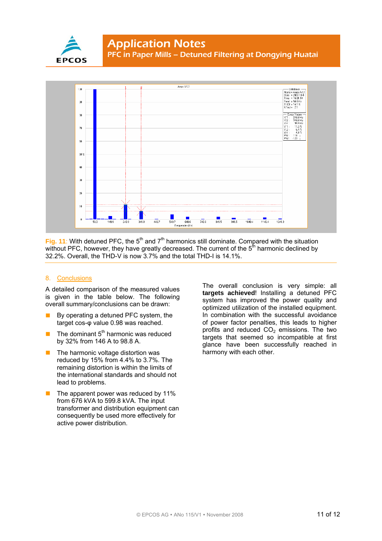



**Fig. 11**: With detuned PFC, the 5<sup>th</sup> and  $7<sup>th</sup>$  harmonics still dominate. Compared with the situation without PFC, however, they have greatly decreased. The current of the  $5<sup>th</sup>$  harmonic declined by 32.2%. Overall, the THD-V is now 3.7% and the total THD-I is 14.1%.

#### 8. Conclusions

A detailed comparison of the measured values is given in the table below. The following overall summary/conclusions can be drawn:

- **By operating a detuned PFC system, the** target cos-φ value 0.98 was reached.
- The dominant  $5<sup>th</sup>$  harmonic was reduced by 32% from 146 A to 98.8 A.
- The harmonic voltage distortion was reduced by 15% from 4.4% to 3.7%. The remaining distortion is within the limits of the international standards and should not lead to problems.
- The apparent power was reduced by 11% from 676 kVA to 599.8 kVA. The input transformer and distribution equipment can consequently be used more effectively for active power distribution.

The overall conclusion is very simple: all **targets achieved**! Installing a detuned PFC system has improved the power quality and optimized utilization of the installed equipment. In combination with the successful avoidance of power factor penalties, this leads to higher profits and reduced  $CO<sub>2</sub>$  emissions. The two targets that seemed so incompatible at first glance have been successfully reached in harmony with each other.